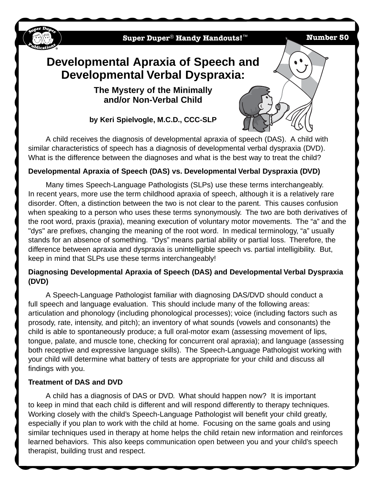

## **Developmental Apraxia of Speech (DAS) vs. Developmental Verbal Dyspraxia (DVD)**

What is the difference between the diagnoses and what is the best way to treat the child?

Many times Speech-Language Pathologists (SLPs) use these terms interchangeably. In recent years, more use the term childhood apraxia of speech, although it is a relatively rare disorder. Often, a distinction between the two is not clear to the parent. This causes confusion when speaking to a person who uses these terms synonymously. The two are both derivatives of the root word, praxis (praxia), meaning execution of voluntary motor movements. The "a" and the "dys" are prefixes, changing the meaning of the root word. In medical terminology, "a" usually stands for an absence of something. "Dys" means partial ability or partial loss. Therefore, the difference between apraxia and dyspraxia is unintelligible speech vs. partial intelligibility. But, keep in mind that SLPs use these terms interchangeably!

## **Diagnosing Developmental Apraxia of Speech (DAS) and Developmental Verbal Dyspraxia (DVD)**

A Speech-Language Pathologist familiar with diagnosing DAS/DVD should conduct a full speech and language evaluation. This should include many of the following areas: articulation and phonology (including phonological processes); voice (including factors such as prosody, rate, intensity, and pitch); an inventory of what sounds (vowels and consonants) the child is able to spontaneously produce; a full oral-motor exam (assessing movement of lips, tongue, palate, and muscle tone, checking for concurrent oral apraxia); and language (assessing both receptive and expressive language skills). The Speech-Language Pathologist working with your child will determine what battery of tests are appropriate for your child and discuss all findings with you.

## **Treatment of DAS and DVD**

A child has a diagnosis of DAS or DVD. What should happen now? It is important to keep in mind that each child is different and will respond differently to therapy techniques. Working closely with the child's Speech-Language Pathologist will benefit your child greatly, especially if you plan to work with the child at home. Focusing on the same goals and using similar techniques used in therapy at home helps the child retain new information and reinforces learned behaviors. This also keeps communication open between you and your child's speech therapist, building trust and respect.